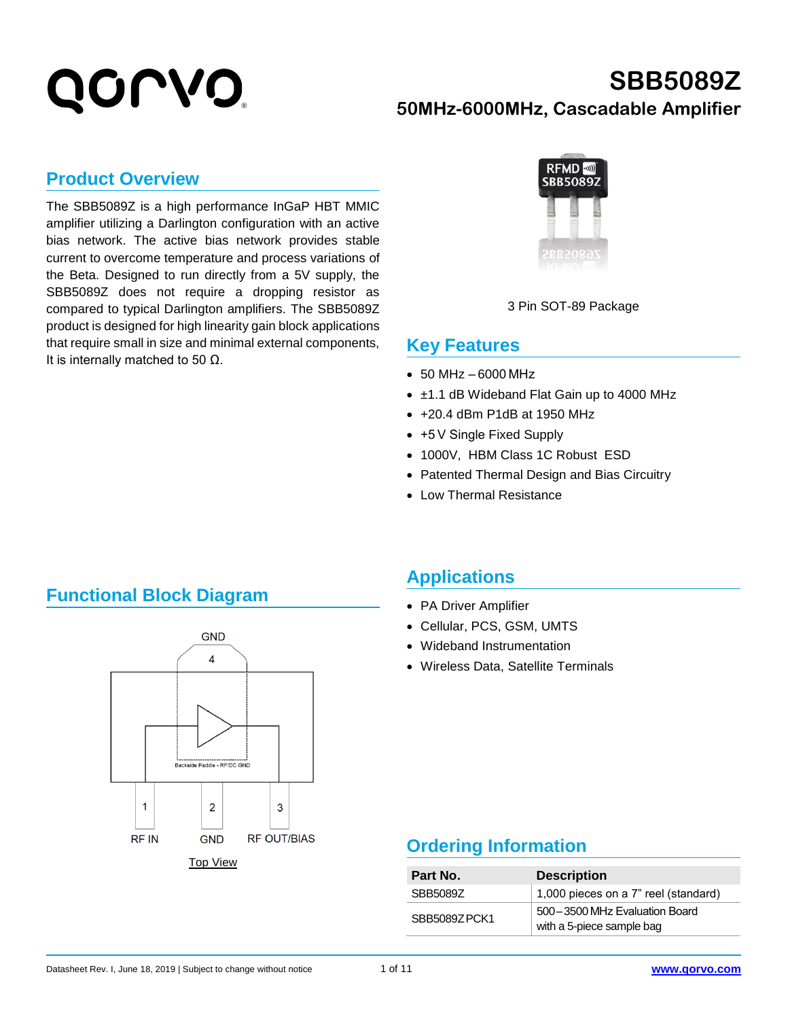### **SBB5089Z 50MHz-6000MHz, Cascadable Amplifier**

#### **Product Overview**

The SBB5089Z is a high performance InGaP HBT MMIC amplifier utilizing a Darlington configuration with an active bias network. The active bias network provides stable current to overcome temperature and process variations of the Beta. Designed to run directly from a 5V supply, the SBB5089Z does not require a dropping resistor as compared to typical Darlington amplifiers. The SBB5089Z product is designed for high linearity gain block applications that require small in size and minimal external components, It is internally matched to 50  $Ω$ .



3 Pin SOT-89 Package

#### **Key Features**

- $\bullet$  50 MHz  $-6000$  MHz
- ±1.1 dB Wideband Flat Gain up to 4000 MHz
- +20.4 dBm P1dB at 1950 MHz
- +5 V Single Fixed Supply
- 1000V, HBM Class 1C Robust ESD
- Patented Thermal Design and Bias Circuitry
- Low Thermal Resistance

#### **Functional Block Diagram**



#### **Applications**

- PA Driver Amplifier
- Cellular, PCS, GSM, UMTS
- Wideband Instrumentation
- Wireless Data, Satellite Terminals

#### **Ordering Information**

| Part No.     | <b>Description</b>                                         |  |  |
|--------------|------------------------------------------------------------|--|--|
| SBB50897     | 1,000 pieces on a 7" reel (standard)                       |  |  |
| SBB5089ZPCK1 | 500-3500 MHz Evaluation Board<br>with a 5-piece sample bag |  |  |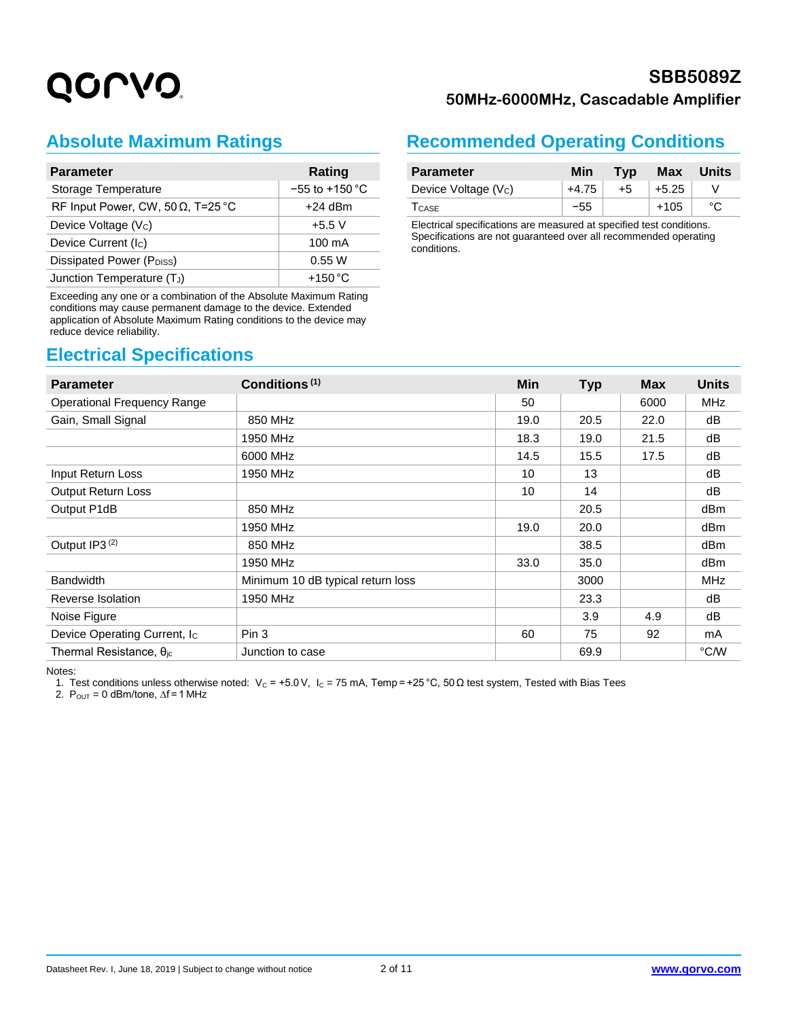#### **SBB5089Z 50MHz-6000MHz, Cascadable Amplifier**

### **Absolute Maximum Ratings**

| <b>Parameter</b>                          | Rating             |
|-------------------------------------------|--------------------|
| Storage Temperature                       | $-55$ to $+150$ °C |
| RF Input Power, CW, 50 $\Omega$ , T=25 °C | $+24$ dBm          |
| Device Voltage (Vc)                       | $+5.5V$            |
| Device Current (Ic)                       | 100 mA             |
| Dissipated Power (PDISS)                  | 0.55 W             |
| Junction Temperature (TJ)                 | $+150^{\circ}$ C   |

Exceeding any one or a combination of the Absolute Maximum Rating conditions may cause permanent damage to the device. Extended application of Absolute Maximum Rating conditions to the device may reduce device reliability.

#### **Electrical Specifications**

#### **Recommended Operating Conditions**

| <b>Parameter</b>    | Min     | Tvp  | <b>Max</b> | Units |
|---------------------|---------|------|------------|-------|
| Device Voltage (Vc) | $+4.75$ | $+5$ | $+5.25$    |       |
| <b>TCASE</b>        | $-55$   |      | $+105$     |       |

Electrical specifications are measured at specified test conditions. Specifications are not guaranteed over all recommended operating conditions.

| <b>Parameter</b>                   | Conditions <sup>(1)</sup>         | Min  | <b>Typ</b> | <b>Max</b> | <b>Units</b>    |
|------------------------------------|-----------------------------------|------|------------|------------|-----------------|
| <b>Operational Frequency Range</b> |                                   | 50   |            | 6000       | <b>MHz</b>      |
| Gain, Small Signal                 | 850 MHz                           | 19.0 | 20.5       | 22.0       | dB              |
|                                    | 1950 MHz                          | 18.3 | 19.0       | 21.5       | dB              |
|                                    | 6000 MHz                          | 14.5 | 15.5       | 17.5       | dB              |
| Input Return Loss                  | 1950 MHz                          | 10   | 13         |            | dB              |
| <b>Output Return Loss</b>          |                                   | 10   | 14         |            | dB              |
| Output P1dB                        | 850 MHz                           |      | 20.5       |            | dB <sub>m</sub> |
|                                    | 1950 MHz                          | 19.0 | 20.0       |            | dBm             |
| Output IP3 <sup>(2)</sup>          | 850 MHz                           |      | 38.5       |            | dBm             |
|                                    | 1950 MHz                          | 33.0 | 35.0       |            | dB <sub>m</sub> |
| <b>Bandwidth</b>                   | Minimum 10 dB typical return loss |      | 3000       |            | <b>MHz</b>      |
| Reverse Isolation                  | 1950 MHz                          |      | 23.3       |            | dB              |
| Noise Figure                       |                                   |      | 3.9        | 4.9        | dB              |
| Device Operating Current, Ic       | Pin 3                             | 60   | 75         | 92         | mA              |
| Thermal Resistance, $\theta_{jc}$  | Junction to case                  |      | 69.9       |            | °C/W            |

Notes:

1. Test conditions unless otherwise noted: V<sub>C</sub> = +5.0 V, I<sub>C</sub> = 75 mA, Temp = +25 °C, 50 Ω test system, Tested with Bias Tees

2.  $P_{OUT} = 0$  dBm/tone,  $\Delta f = 1$  MHz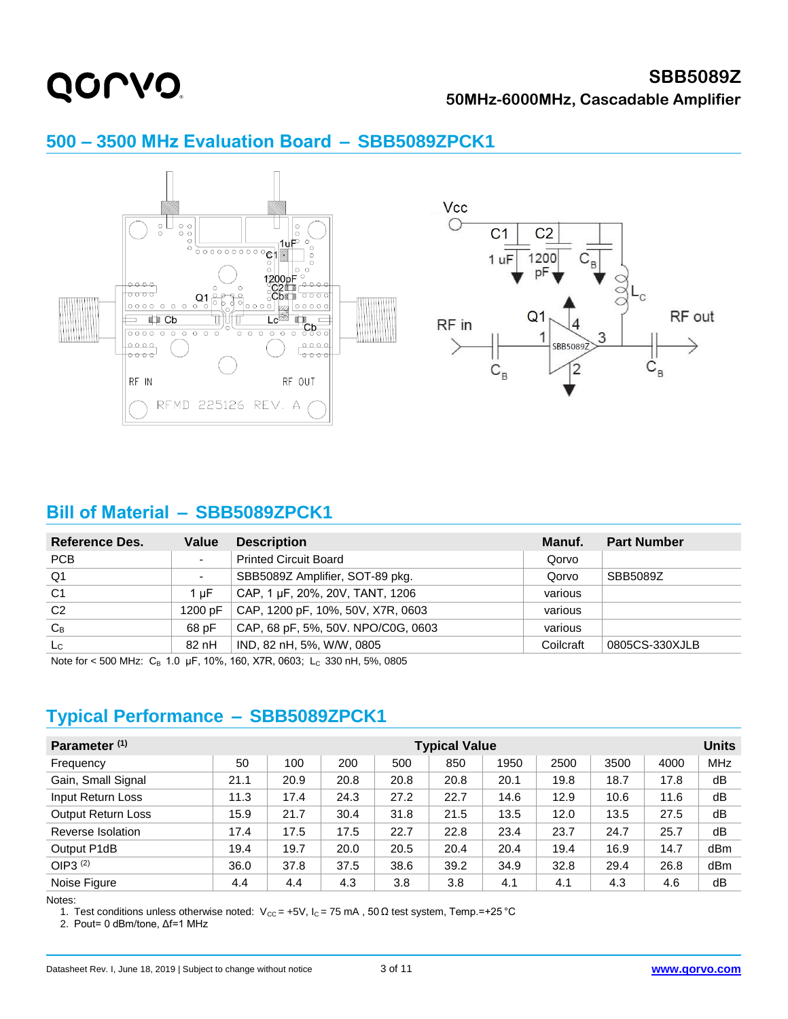#### **SBB5089Z 50MHz-6000MHz, Cascadable Amplifier**



#### **500 – 3500 MHz Evaluation Board  –  SBB5089ZPCK1**

#### **Bill of Material - SBB5089ZPCK1**

| Reference Des. | Value          | <b>Description</b>                 | Manuf.    | <b>Part Number</b> |
|----------------|----------------|------------------------------------|-----------|--------------------|
| PCB            | ٠              | <b>Printed Circuit Board</b>       | Qorvo     |                    |
| Q <sub>1</sub> | $\blacksquare$ | SBB5089Z Amplifier, SOT-89 pkg.    | Qorvo     | SBB5089Z           |
| C <sub>1</sub> | 1 uF           | CAP, 1 µF, 20%, 20V, TANT, 1206    | various   |                    |
| C <sub>2</sub> | 1200 pF        | CAP, 1200 pF, 10%, 50V, X7R, 0603  | various   |                    |
| $C_B$          | 68 pF          | CAP, 68 pF, 5%, 50V. NPO/C0G, 0603 | various   |                    |
| $_{\rm Lc}$    | 82 nH          | IND, 82 nH, 5%, W/W, 0805          | Coilcraft | 0805CS-330XJLB     |

Note for < 500 MHz:  $C_B$  1.0 µF, 10%, 160, X7R, 0603; L<sub>C</sub> 330 nH, 5%, 0805

#### **Typical Performance  –  SBB5089ZPCK1**

| Parameter <sup>(1)</sup>  | <b>Typical Value</b> |      |      |      |      |      |      | <b>Units</b> |      |            |
|---------------------------|----------------------|------|------|------|------|------|------|--------------|------|------------|
| Frequency                 | 50                   | 100  | 200  | 500  | 850  | 1950 | 2500 | 3500         | 4000 | <b>MHz</b> |
| Gain, Small Signal        | 21.1                 | 20.9 | 20.8 | 20.8 | 20.8 | 20.1 | 19.8 | 18.7         | 17.8 | dB         |
| Input Return Loss         | 11.3                 | 17.4 | 24.3 | 27.2 | 22.7 | 14.6 | 12.9 | 10.6         | 11.6 | dB         |
| <b>Output Return Loss</b> | 15.9                 | 21.7 | 30.4 | 31.8 | 21.5 | 13.5 | 12.0 | 13.5         | 27.5 | dB         |
| Reverse Isolation         | 17.4                 | 17.5 | 17.5 | 22.7 | 22.8 | 23.4 | 23.7 | 24.7         | 25.7 | dB         |
| Output P1dB               | 19.4                 | 19.7 | 20.0 | 20.5 | 20.4 | 20.4 | 19.4 | 16.9         | 14.7 | dBm        |
| OIP3 <sup>(2)</sup>       | 36.0                 | 37.8 | 37.5 | 38.6 | 39.2 | 34.9 | 32.8 | 29.4         | 26.8 | dBm        |
| Noise Figure              | 4.4                  | 4.4  | 4.3  | 3.8  | 3.8  | 4.1  | 4.1  | 4.3          | 4.6  | dB         |

Notes:

1. Test conditions unless otherwise noted: V<sub>CC</sub> = +5V, I<sub>C</sub> = 75 mA, 50 Ω test system, Temp. = +25 °C

2. Pout= 0 dBm/tone, Δf=1 MHz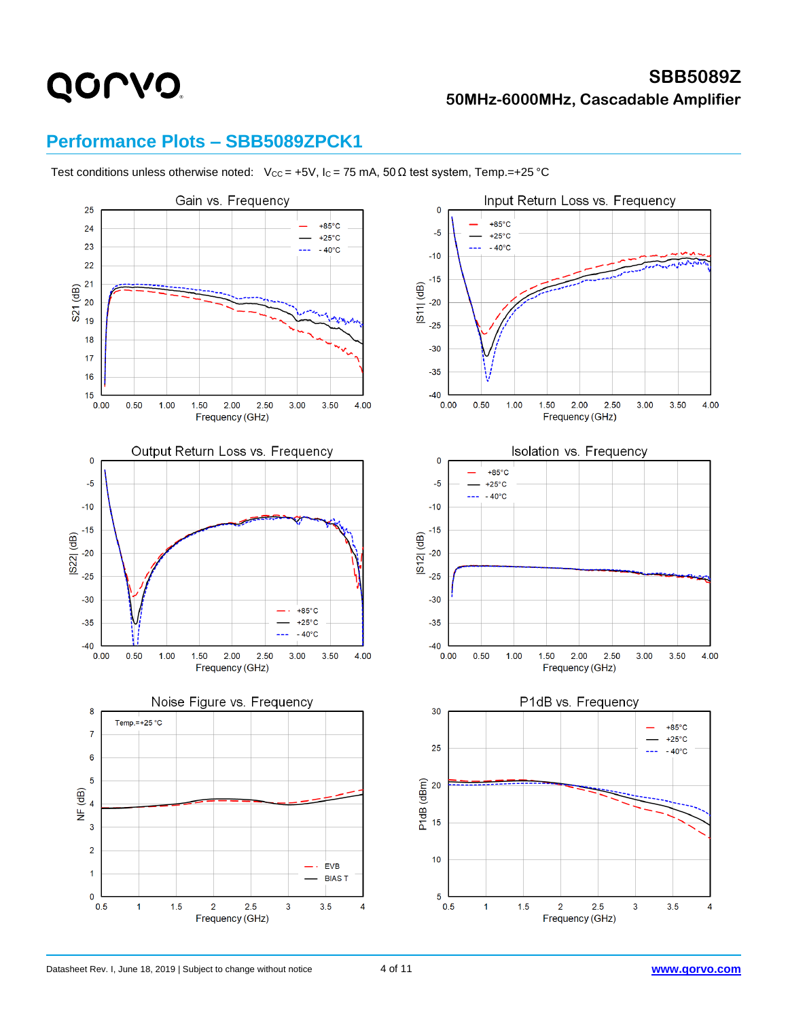#### **SBB5089Z 50MHz-6000MHz, Cascadable Amplifier**

#### **Performance Plots – SBB5089ZPCK1**

Test conditions unless otherwise noted: Vcc = +5V, Ic = 75 mA, 50  $\Omega$  test system, Temp.=+25 °C

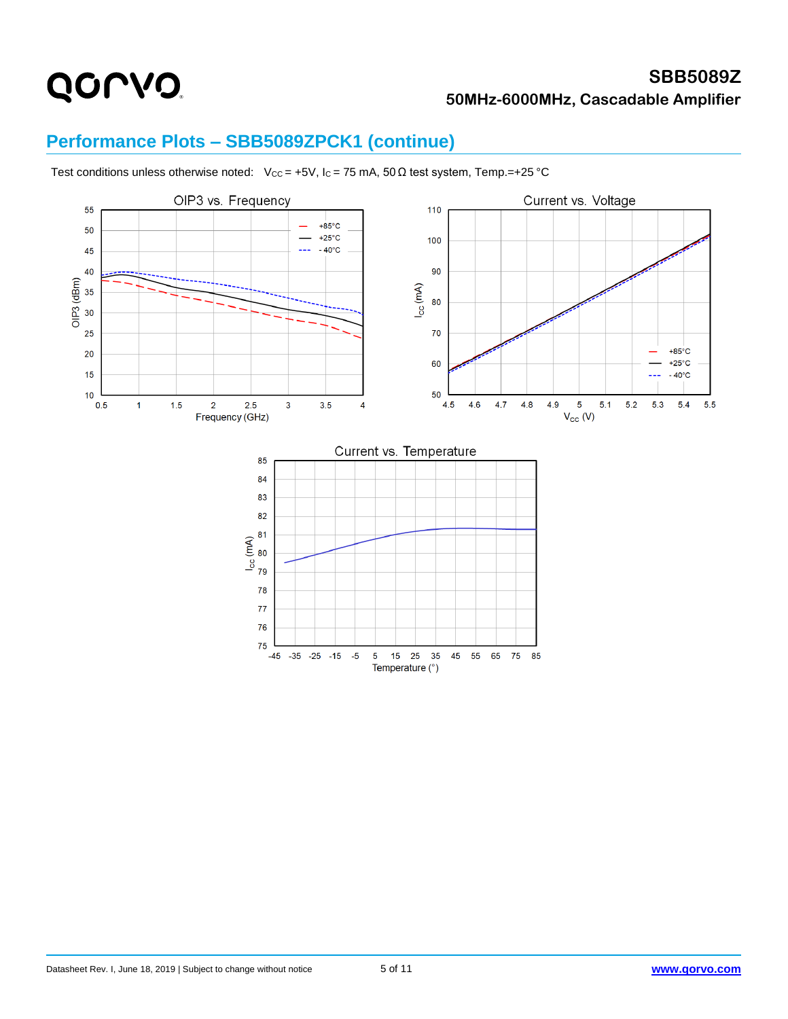## QONO.

#### **SBB5089Z 50MHz-6000MHz, Cascadable Amplifier**

#### **Performance Plots – SBB5089ZPCK1 (continue)**



Test conditions unless otherwise noted: Vcc = +5V, Ic = 75 mA, 50  $\Omega$  test system, Temp.=+25 °C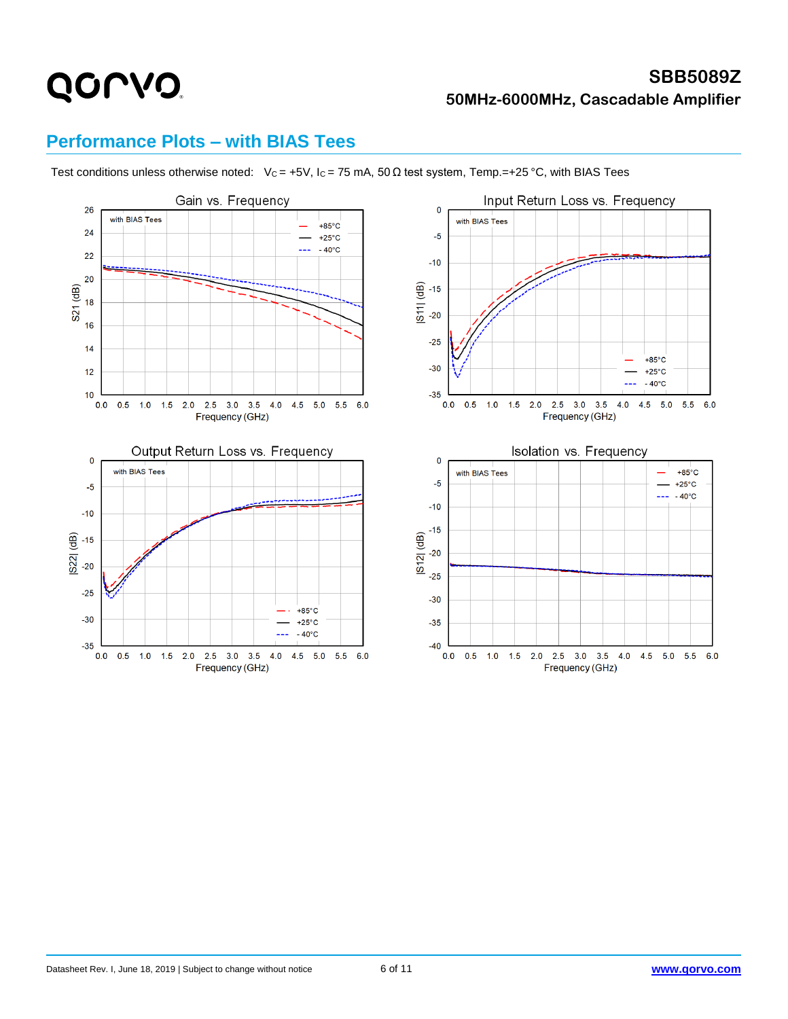#### **SBB5089Z 50MHz-6000MHz, Cascadable Amplifier**

#### **Performance Plots – with BIAS Tees**

Test conditions unless otherwise noted: Vc = +5V, Ic = 75 mA, 50  $\Omega$  test system, Temp.=+25 °C, with BIAS Tees

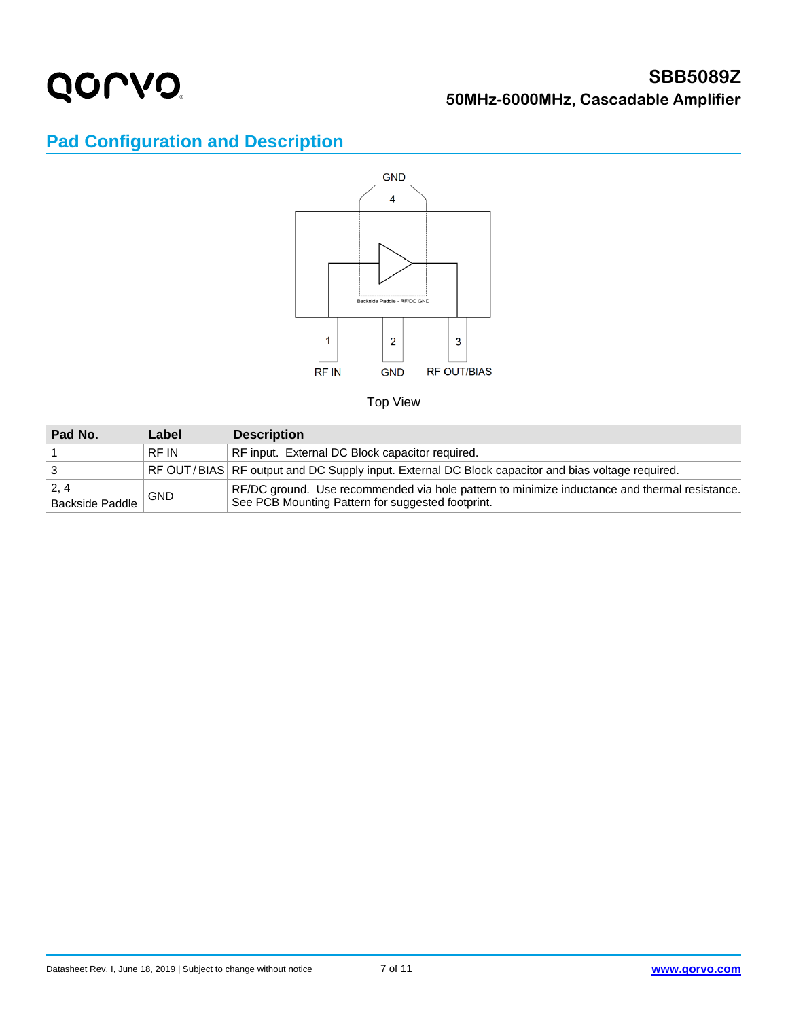

#### **SBB5089Z 50MHz-6000MHz, Cascadable Amplifier**

### **Pad Configuration and Description**



#### Top View

| Pad No.                 | Label      | <b>Description</b>                                                                                                                                 |
|-------------------------|------------|----------------------------------------------------------------------------------------------------------------------------------------------------|
|                         | RF IN      | RF input. External DC Block capacitor required.                                                                                                    |
|                         |            | RF OUT/BIAS RF output and DC Supply input. External DC Block capacitor and bias voltage required.                                                  |
| 2, 4<br>Backside Paddle | <b>GND</b> | RF/DC ground. Use recommended via hole pattern to minimize inductance and thermal resistance.<br>See PCB Mounting Pattern for suggested footprint. |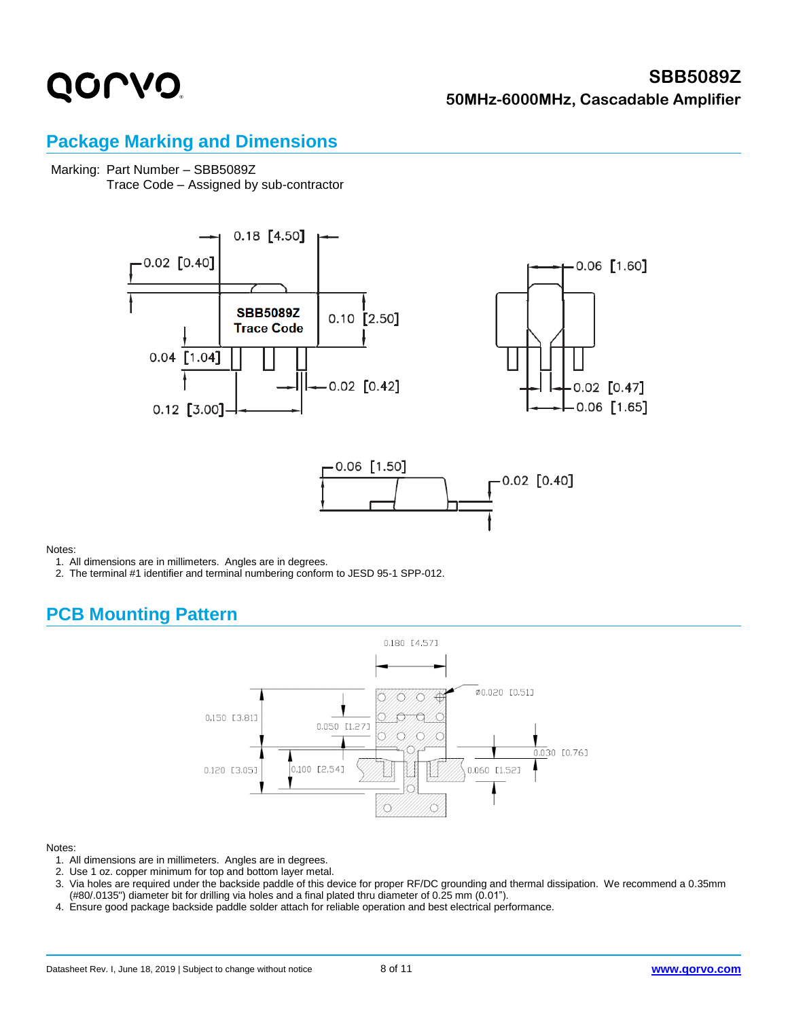#### **SBB5089Z 50MHz-6000MHz, Cascadable Amplifier**

#### **Package Marking and Dimensions**

#### Marking: Part Number – SBB5089Z

Trace Code – Assigned by sub-contractor







Notes:

- 1. All dimensions are in millimeters. Angles are in degrees.
- 2. The terminal #1 identifier and terminal numbering conform to JESD 95-1 SPP-012.

#### **PCB Mounting Pattern**



#### Notes:

- 1. All dimensions are in millimeters. Angles are in degrees.
- 2. Use 1 oz. copper minimum for top and bottom layer metal.
- 3. Via holes are required under the backside paddle of this device for proper RF/DC grounding and thermal dissipation. We recommend a 0.35mm (#80/.0135") diameter bit for drilling via holes and a final plated thru diameter of 0.25 mm (0.01").
- 4. Ensure good package backside paddle solder attach for reliable operation and best electrical performance.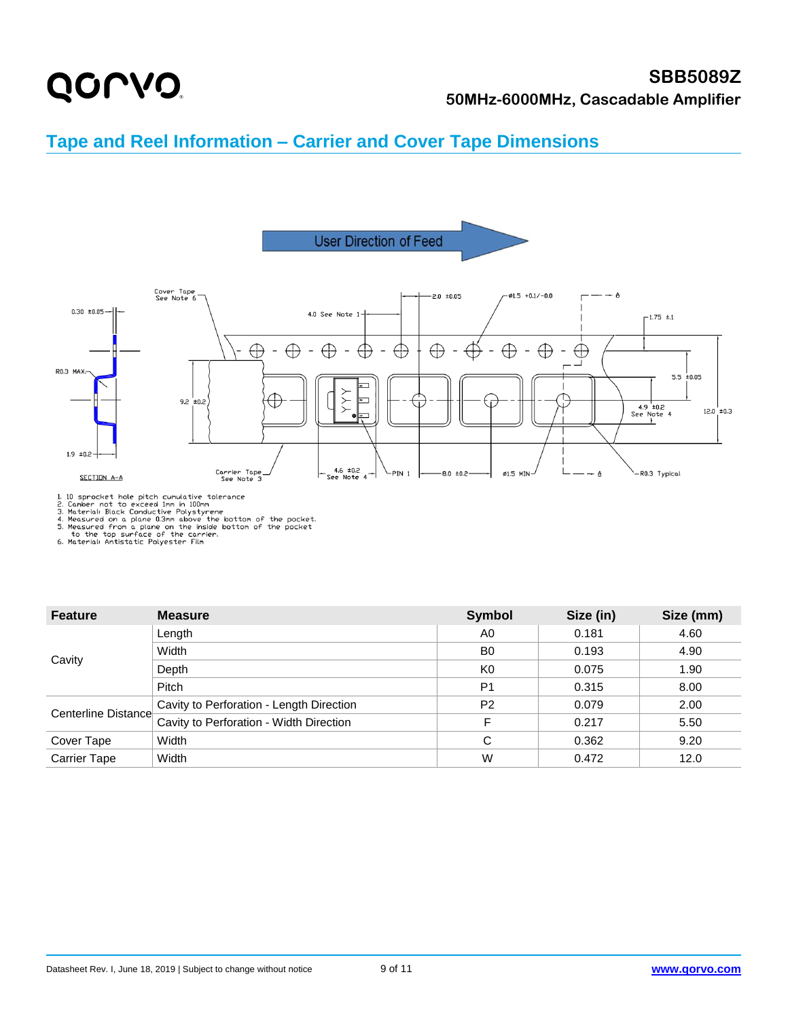### QONO.

#### **SBB5089Z 50MHz-6000MHz, Cascadable Amplifier**

#### **Tape and Reel Information – Carrier and Cover Tape Dimensions**



1.10 sprocket hole pitch cumulative tolerance<br>
2. Camber not to exceed Imm in 100mm<br>
3. Material: Black Conductive Polystyrene<br>
4. Measured on a plane 0.3mm above the bottom of the pocket<br>
5. Measured from a plane on the i

| <b>Feature</b>      | <b>Measure</b>                           | <b>Symbol</b>  | Size (in) | Size (mm) |
|---------------------|------------------------------------------|----------------|-----------|-----------|
|                     | Length                                   | A <sub>0</sub> | 0.181     | 4.60      |
|                     | Width                                    | B <sub>0</sub> | 0.193     | 4.90      |
| Cavity              | Depth                                    | K <sub>0</sub> | 0.075     | 1.90      |
|                     | Pitch                                    | P <sub>1</sub> | 0.315     | 8.00      |
|                     | Cavity to Perforation - Length Direction | P <sub>2</sub> | 0.079     | 2.00      |
| Centerline Distance | Cavity to Perforation - Width Direction  | F              | 0.217     | 5.50      |
| Width<br>Cover Tape |                                          | C              | 0.362     | 9.20      |
| <b>Carrier Tape</b> | Width                                    | W              | 0.472     | 12.0      |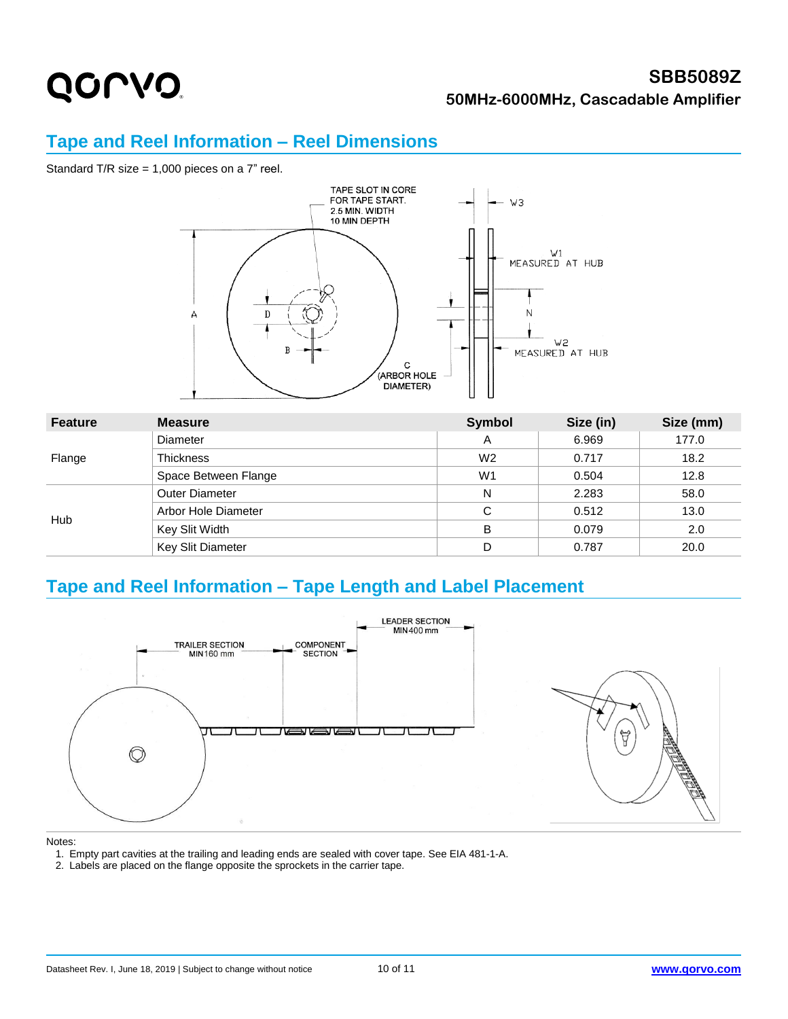#### **SBB5089Z 50MHz-6000MHz, Cascadable Amplifier**

#### **Tape and Reel Information – Reel Dimensions**

Standard T/R size = 1,000 pieces on a 7" reel.



| <b>Feature</b> | <b>Measure</b>        | <b>Symbol</b>  | Size (in) | Size (mm) |
|----------------|-----------------------|----------------|-----------|-----------|
|                | <b>Diameter</b>       | A              | 6.969     | 177.0     |
| Flange         | <b>Thickness</b>      | W <sub>2</sub> | 0.717     | 18.2      |
|                | Space Between Flange  | W <sub>1</sub> | 0.504     | 12.8      |
| Hub            | <b>Outer Diameter</b> | N              | 2.283     | 58.0      |
|                | Arbor Hole Diameter   | C              | 0.512     | 13.0      |
|                | Key Slit Width        | в              | 0.079     | 2.0       |
|                | Key Slit Diameter     | D              | 0.787     | 20.0      |

#### **Tape and Reel Information – Tape Length and Label Placement**



#### Notes:

1. Empty part cavities at the trailing and leading ends are sealed with cover tape. See EIA 481-1-A.

2. Labels are placed on the flange opposite the sprockets in the carrier tape.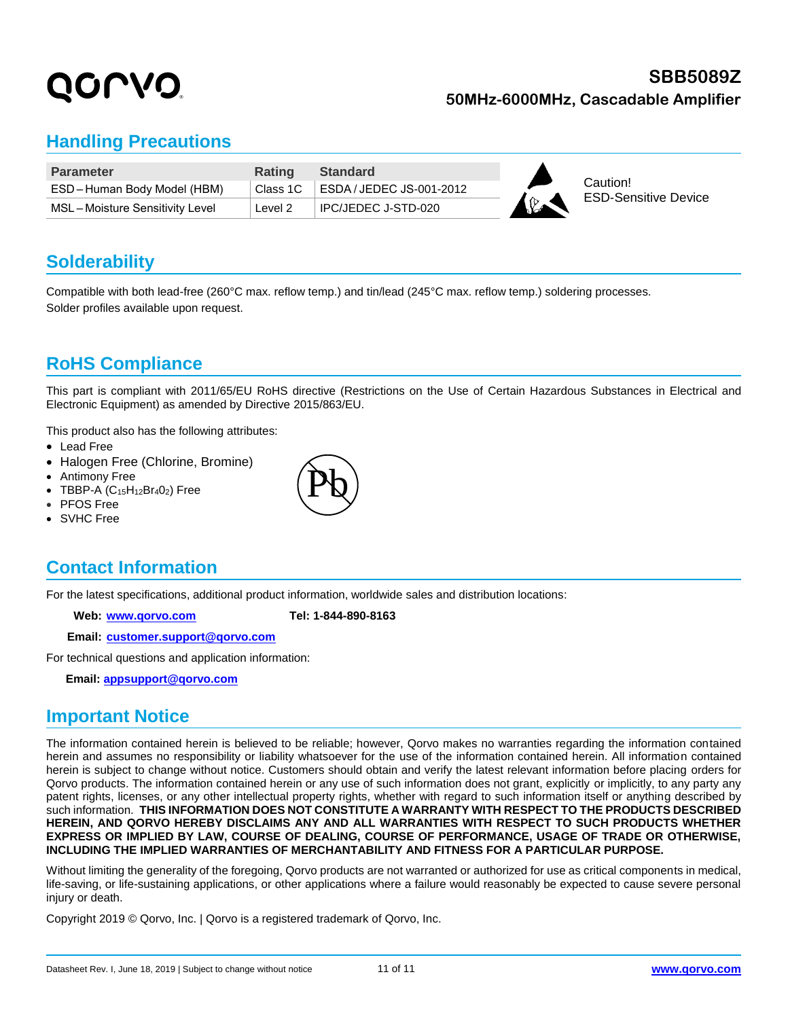#### **SBB5089Z 50MHz-6000MHz, Cascadable Amplifier**

#### **Handling Precautions**

| <b>Parameter</b>               | <b>Rating</b> | <b>Standard</b>          |     |                                         |
|--------------------------------|---------------|--------------------------|-----|-----------------------------------------|
| ESD-Human Body Model (HBM)     | Class 1C      | ESDA / JEDEC JS-001-2012 | I O | Caution!<br><b>ESD-Sensitive Device</b> |
| MSL-Moisture Sensitivity Level | Level 2       | IPC/JEDEC J-STD-020      |     |                                         |

#### **Solderability**

Compatible with both lead-free (260°C max. reflow temp.) and tin/lead (245°C max. reflow temp.) soldering processes. Solder profiles available upon request.

#### **RoHS Compliance**

This part is compliant with 2011/65/EU RoHS directive (Restrictions on the Use of Certain Hazardous Substances in Electrical and Electronic Equipment) as amended by Directive 2015/863/EU.

This product also has the following attributes:

- Lead Free
- Halogen Free (Chlorine, Bromine)
- Antimony Free
- TBBP-A  $(C_{15}H_{12}Br_4O_2)$  Free
- PFOS Free
- SVHC Free

#### **Contact Information**

For the latest specifications, additional product information, worldwide sales and distribution locations:

**Web: [www.qorvo.com](http://www.qorvo.com/) Tel: 1-844-890-8163**

**Email: [customer.support@qorvo.com](mailto:customer.support@qorvo.com)**

For technical questions and application information:

 **Email: [appsupport@qorvo.com](mailto:appsupport@qorvo.com)**

#### **Important Notice**

The information contained herein is believed to be reliable; however, Qorvo makes no warranties regarding the information contained herein and assumes no responsibility or liability whatsoever for the use of the information contained herein. All information contained herein is subject to change without notice. Customers should obtain and verify the latest relevant information before placing orders for Qorvo products. The information contained herein or any use of such information does not grant, explicitly or implicitly, to any party any patent rights, licenses, or any other intellectual property rights, whether with regard to such information itself or anything described by such information. **THIS INFORMATION DOES NOT CONSTITUTE A WARRANTY WITH RESPECT TO THE PRODUCTS DESCRIBED HEREIN, AND QORVO HEREBY DISCLAIMS ANY AND ALL WARRANTIES WITH RESPECT TO SUCH PRODUCTS WHETHER EXPRESS OR IMPLIED BY LAW, COURSE OF DEALING, COURSE OF PERFORMANCE, USAGE OF TRADE OR OTHERWISE, INCLUDING THE IMPLIED WARRANTIES OF MERCHANTABILITY AND FITNESS FOR A PARTICULAR PURPOSE.**

Without limiting the generality of the foregoing, Qorvo products are not warranted or authorized for use as critical components in medical, life-saving, or life-sustaining applications, or other applications where a failure would reasonably be expected to cause severe personal injury or death.

Copyright 2019 © Qorvo, Inc. | Qorvo is a registered trademark of Qorvo, Inc.